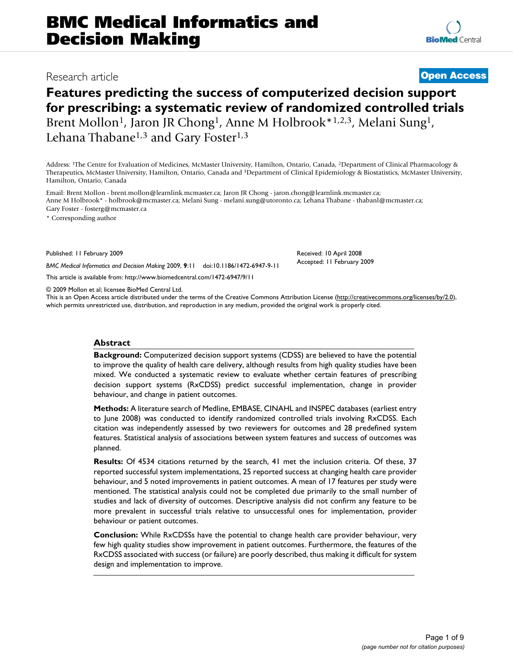# **Features predicting the success of computerized decision support for prescribing: a systematic review of randomized controlled trials** Brent Mollon<sup>1</sup>, Jaron JR Chong<sup>1</sup>, Anne M Holbrook<sup>\*1,2,3</sup>, Melani Sung<sup>1</sup>, Lehana Thabane<sup>1,3</sup> and Gary Foster<sup>1,3</sup>

Address: 1The Centre for Evaluation of Medicines, McMaster University, Hamilton, Ontario, Canada, 2Department of Clinical Pharmacology & Therapeutics, McMaster University, Hamilton, Ontario, Canada and 3Department of Clinical Epidemiology & Biostatistics, McMaster University, Hamilton, Ontario, Canada

Email: Brent Mollon - brent.mollon@learnlink.mcmaster.ca; Jaron JR Chong - jaron.chong@learnlink.mcmaster.ca; Anne M Holbrook\* - holbrook@mcmaster.ca; Melani Sung - melani.sung@utoronto.ca; Lehana Thabane - thabanl@mcmaster.ca; Gary Foster - fosterg@mcmaster.ca

\* Corresponding author

Published: 11 February 2009

*BMC Medical Informatics and Decision Making* 2009, **9**:11 doi:10.1186/1472-6947-9-11

[This article is available from: http://www.biomedcentral.com/1472-6947/9/11](http://www.biomedcentral.com/1472-6947/9/11)

© 2009 Mollon et al; licensee BioMed Central Ltd.

This is an Open Access article distributed under the terms of the Creative Commons Attribution License [\(http://creativecommons.org/licenses/by/2.0\)](http://creativecommons.org/licenses/by/2.0), which permits unrestricted use, distribution, and reproduction in any medium, provided the original work is properly cited.

#### **Abstract**

**Background:** Computerized decision support systems (CDSS) are believed to have the potential to improve the quality of health care delivery, although results from high quality studies have been mixed. We conducted a systematic review to evaluate whether certain features of prescribing decision support systems (RxCDSS) predict successful implementation, change in provider behaviour, and change in patient outcomes.

**Methods:** A literature search of Medline, EMBASE, CINAHL and INSPEC databases (earliest entry to June 2008) was conducted to identify randomized controlled trials involving RxCDSS. Each citation was independently assessed by two reviewers for outcomes and 28 predefined system features. Statistical analysis of associations between system features and success of outcomes was planned.

**Results:** Of 4534 citations returned by the search, 41 met the inclusion criteria. Of these, 37 reported successful system implementations, 25 reported success at changing health care provider behaviour, and 5 noted improvements in patient outcomes. A mean of 17 features per study were mentioned. The statistical analysis could not be completed due primarily to the small number of studies and lack of diversity of outcomes. Descriptive analysis did not confirm any feature to be more prevalent in successful trials relative to unsuccessful ones for implementation, provider behaviour or patient outcomes.

**Conclusion:** While RxCDSSs have the potential to change health care provider behaviour, very few high quality studies show improvement in patient outcomes. Furthermore, the features of the RxCDSS associated with success (or failure) are poorly described, thus making it difficult for system design and implementation to improve.

> Page 1 of 9 *(page number not for citation purposes)*

Received: 10 April 2008 Accepted: 11 February 2009

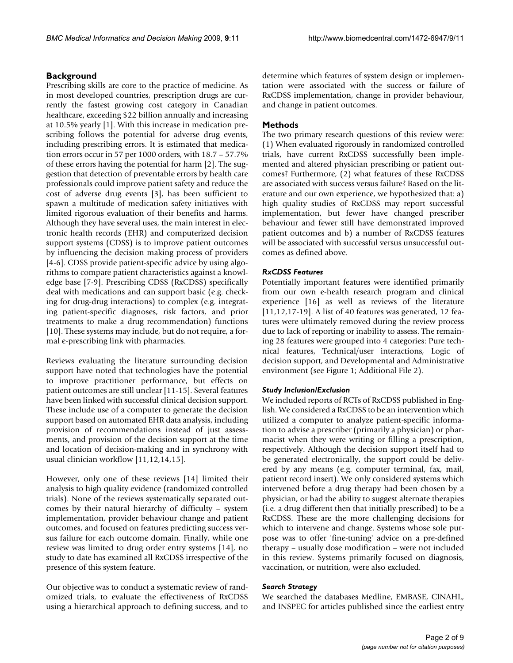# **Background**

Prescribing skills are core to the practice of medicine. As in most developed countries, prescription drugs are currently the fastest growing cost category in Canadian healthcare, exceeding \$22 billion annually and increasing at 10.5% yearly [1]. With this increase in medication prescribing follows the potential for adverse drug events, including prescribing errors. It is estimated that medication errors occur in 57 per 1000 orders, with 18.7 – 57.7% of these errors having the potential for harm [2]. The suggestion that detection of preventable errors by health care professionals could improve patient safety and reduce the cost of adverse drug events [3], has been sufficient to spawn a multitude of medication safety initiatives with limited rigorous evaluation of their benefits and harms. Although they have several uses, the main interest in electronic health records (EHR) and computerized decision support systems (CDSS) is to improve patient outcomes by influencing the decision making process of providers [4-6]. CDSS provide patient-specific advice by using algorithms to compare patient characteristics against a knowledge base [7-9]. Prescribing CDSS (RxCDSS) specifically deal with medications and can support basic (e.g. checking for drug-drug interactions) to complex (e.g. integrating patient-specific diagnoses, risk factors, and prior treatments to make a drug recommendation) functions [10]. These systems may include, but do not require, a formal e-prescribing link with pharmacies.

Reviews evaluating the literature surrounding decision support have noted that technologies have the potential to improve practitioner performance, but effects on patient outcomes are still unclear [11-15]. Several features have been linked with successful clinical decision support. These include use of a computer to generate the decision support based on automated EHR data analysis, including provision of recommendations instead of just assessments, and provision of the decision support at the time and location of decision-making and in synchrony with usual clinician workflow [11,12,14,15].

However, only one of these reviews [14] limited their analysis to high quality evidence (randomized controlled trials). None of the reviews systematically separated outcomes by their natural hierarchy of difficulty – system implementation, provider behaviour change and patient outcomes, and focused on features predicting success versus failure for each outcome domain. Finally, while one review was limited to drug order entry systems [14], no study to date has examined all RxCDSS irrespective of the presence of this system feature.

Our objective was to conduct a systematic review of randomized trials, to evaluate the effectiveness of RxCDSS using a hierarchical approach to defining success, and to

determine which features of system design or implementation were associated with the success or failure of RxCDSS implementation, change in provider behaviour, and change in patient outcomes.

# **Methods**

The two primary research questions of this review were: (1) When evaluated rigorously in randomized controlled trials, have current RxCDSS successfully been implemented and altered physician prescribing or patient outcomes? Furthermore, (2) what features of these RxCDSS are associated with success versus failure? Based on the literature and our own experience, we hypothesized that: a) high quality studies of RxCDSS may report successful implementation, but fewer have changed prescriber behaviour and fewer still have demonstrated improved patient outcomes and b) a number of RxCDSS features will be associated with successful versus unsuccessful outcomes as defined above.

# *RxCDSS Features*

Potentially important features were identified primarily from our own e-health research program and clinical experience [16] as well as reviews of the literature [11,12,17-19]. A list of 40 features was generated, 12 features were ultimately removed during the review process due to lack of reporting or inability to assess. The remaining 28 features were grouped into 4 categories: Pure technical features, Technical/user interactions, Logic of decision support, and Developmental and Administrative environment (see Figure 1; Additional File 2).

#### *Study Inclusion/Exclusion*

We included reports of RCTs of RxCDSS published in English. We considered a RxCDSS to be an intervention which utilized a computer to analyze patient-specific information to advise a prescriber (primarily a physician) or pharmacist when they were writing or filling a prescription, respectively. Although the decision support itself had to be generated electronically, the support could be delivered by any means (e.g. computer terminal, fax, mail, patient record insert). We only considered systems which intervened before a drug therapy had been chosen by a physician, or had the ability to suggest alternate therapies (i.e. a drug different then that initially prescribed) to be a RxCDSS. These are the more challenging decisions for which to intervene and change. Systems whose sole purpose was to offer 'fine-tuning' advice on a pre-defined therapy – usually dose modification – were not included in this review. Systems primarily focused on diagnosis, vaccination, or nutrition, were also excluded.

#### *Search Strategy*

We searched the databases Medline, EMBASE, CINAHL, and INSPEC for articles published since the earliest entry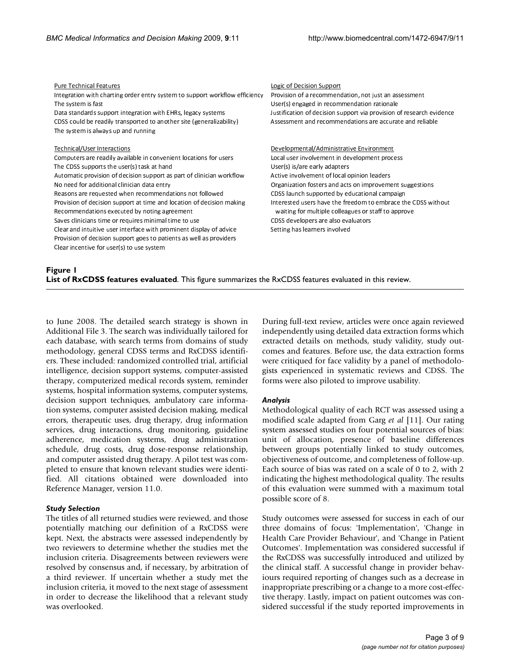| <b>Pure Technical Features</b>                                              | Logic of Decision Support                                            |
|-----------------------------------------------------------------------------|----------------------------------------------------------------------|
| Integration with charting order entry system to support workflow efficiency | Provision of a recommendation, not just an assessment                |
| The system is fast                                                          | User(s) engaged in recommendation rationale                          |
| Data standards support integration with EHRs, legacy systems                | Justification of decision support via provision of research evidence |
| CDSS could be readily transported to another site (generalizability)        | Assessment and recommendations are accurate and reliable             |
| The system is always up and running                                         |                                                                      |
| Technical/User Interactions                                                 | Developmental/Administrative Environment                             |
| Computers are readily available in convenient locations for users           | Local user involvement in development process                        |
| The CDSS supports the user(s) task at hand                                  | User(s) is/are early adapters                                        |
| Automatic provision of decision support as part of clinician workflow       | Active involvement of local opinion leaders                          |
| No need for additional clinician data entry                                 | Organization fosters and acts on improvement suggestions             |
| Reasons are requested when recommendations not followed                     | CDSS launch supported by educational campaign                        |
| Provision of decision support at time and location of decision making       | Interested users have the freedom to embrace the CDSS without        |
| Recommendations executed by noting agreement                                | waiting for multiple colleagues or staff to approve                  |
| Saves clinicians time or requires minimal time to use                       | CDSS developers are also evaluators                                  |
| Clear and intuitive user interface with prominent display of advice         | Setting has learners involved                                        |
| Provision of decision support goes to patients as well as providers         |                                                                      |
| Clear incentive for user(s) to use system                                   |                                                                      |
|                                                                             |                                                                      |
| Fioure l                                                                    |                                                                      |

#### **Fig**

**List of RxCDSS features evaluated**. This figure summarizes the RxCDSS features evaluated in this review.

to June 2008. The detailed search strategy is shown in Additional File 3. The search was individually tailored for each database, with search terms from domains of study methodology, general CDSS terms and RxCDSS identifiers. These included: randomized controlled trial, artificial intelligence, decision support systems, computer-assisted therapy, computerized medical records system, reminder systems, hospital information systems, computer systems, decision support techniques, ambulatory care information systems, computer assisted decision making, medical errors, therapeutic uses, drug therapy, drug information services, drug interactions, drug monitoring, guideline adherence, medication systems, drug administration schedule, drug costs, drug dose-response relationship, and computer assisted drug therapy. A pilot test was completed to ensure that known relevant studies were identified. All citations obtained were downloaded into Reference Manager, version 11.0.

#### *Study Selection*

The titles of all returned studies were reviewed, and those potentially matching our definition of a RxCDSS were kept. Next, the abstracts were assessed independently by two reviewers to determine whether the studies met the inclusion criteria. Disagreements between reviewers were resolved by consensus and, if necessary, by arbitration of a third reviewer. If uncertain whether a study met the inclusion criteria, it moved to the next stage of assessment in order to decrease the likelihood that a relevant study was overlooked.

During full-text review, articles were once again reviewed independently using detailed data extraction forms which extracted details on methods, study validity, study outcomes and features. Before use, the data extraction forms were critiqued for face validity by a panel of methodologists experienced in systematic reviews and CDSS. The forms were also piloted to improve usability.

#### *Analysis*

Methodological quality of each RCT was assessed using a modified scale adapted from Garg *et al* [11]. Our rating system assessed studies on four potential sources of bias: unit of allocation, presence of baseline differences between groups potentially linked to study outcomes, objectiveness of outcome, and completeness of follow-up. Each source of bias was rated on a scale of 0 to 2, with 2 indicating the highest methodological quality. The results of this evaluation were summed with a maximum total possible score of 8.

Study outcomes were assessed for success in each of our three domains of focus: 'Implementation', 'Change in Health Care Provider Behaviour', and 'Change in Patient Outcomes'. Implementation was considered successful if the RxCDSS was successfully introduced and utilized by the clinical staff. A successful change in provider behaviours required reporting of changes such as a decrease in inappropriate prescribing or a change to a more cost-effective therapy. Lastly, impact on patient outcomes was considered successful if the study reported improvements in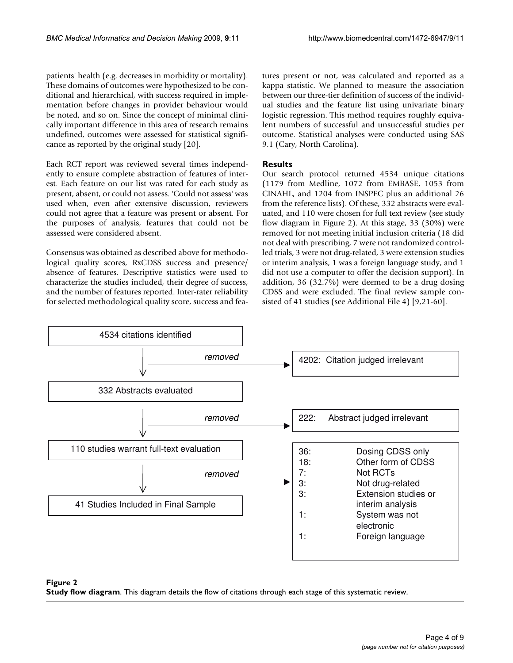patients' health (e.g. decreases in morbidity or mortality). These domains of outcomes were hypothesized to be conditional and hierarchical, with success required in implementation before changes in provider behaviour would be noted, and so on. Since the concept of minimal clinically important difference in this area of research remains undefined, outcomes were assessed for statistical significance as reported by the original study [20].

Each RCT report was reviewed several times independently to ensure complete abstraction of features of interest. Each feature on our list was rated for each study as present, absent, or could not assess. 'Could not assess' was used when, even after extensive discussion, reviewers could not agree that a feature was present or absent. For the purposes of analysis, features that could not be assessed were considered absent.

Consensus was obtained as described above for methodological quality scores, RxCDSS success and presence/ absence of features. Descriptive statistics were used to characterize the studies included, their degree of success, and the number of features reported. Inter-rater reliability for selected methodological quality score, success and features present or not, was calculated and reported as a kappa statistic. We planned to measure the association between our three-tier definition of success of the individual studies and the feature list using univariate binary logistic regression. This method requires roughly equivalent numbers of successful and unsuccessful studies per outcome. Statistical analyses were conducted using SAS 9.1 (Cary, North Carolina).

#### **Results**

Our search protocol returned 4534 unique citations (1179 from Medline, 1072 from EMBASE, 1053 from CINAHL, and 1204 from INSPEC plus an additional 26 from the reference lists). Of these, 332 abstracts were evaluated, and 110 were chosen for full text review (see study flow diagram in Figure 2). At this stage, 33 (30%) were removed for not meeting initial inclusion criteria (18 did not deal with prescribing, 7 were not randomized controlled trials, 3 were not drug-related, 3 were extension studies or interim analysis, 1 was a foreign language study, and 1 did not use a computer to offer the decision support). In addition, 36 (32.7%) were deemed to be a drug dosing CDSS and were excluded. The final review sample consisted of 41 studies (see Additional File 4) [9,21-60].



#### **Figure 2 Study flow diagram**. This diagram details the flow of citations through each stage of this systematic review.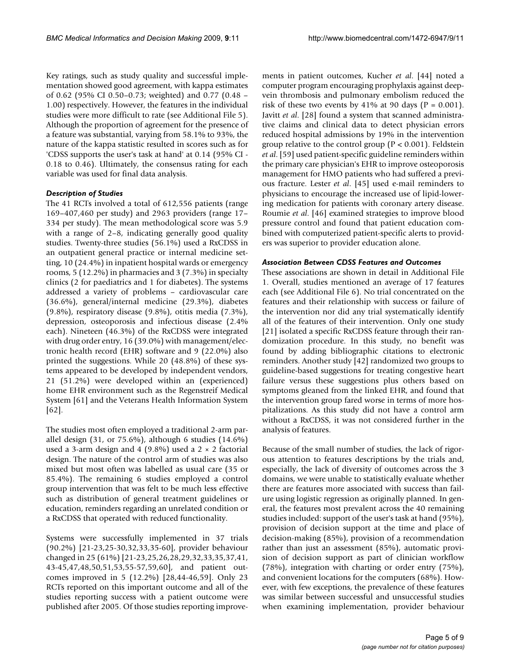Key ratings, such as study quality and successful implementation showed good agreement, with kappa estimates of 0.62 (95% CI 0.50–0.73; weighted) and 0.77 (0.48 – 1.00) respectively. However, the features in the individual studies were more difficult to rate (see Additional File 5). Although the proportion of agreement for the presence of a feature was substantial, varying from 58.1% to 93%, the nature of the kappa statistic resulted in scores such as for 'CDSS supports the user's task at hand' at 0.14 (95% CI - 0.18 to 0.46). Ultimately, the consensus rating for each variable was used for final data analysis.

#### *Description of Studies*

The 41 RCTs involved a total of 612,556 patients (range 169–407,460 per study) and 2963 providers (range 17– 334 per study). The mean methodological score was 5.9 with a range of 2–8, indicating generally good quality studies. Twenty-three studies (56.1%) used a RxCDSS in an outpatient general practice or internal medicine setting, 10 (24.4%) in inpatient hospital wards or emergency rooms, 5 (12.2%) in pharmacies and 3 (7.3%) in specialty clinics (2 for paediatrics and 1 for diabetes). The systems addressed a variety of problems – cardiovascular care (36.6%), general/internal medicine (29.3%), diabetes (9.8%), respiratory disease (9.8%), otitis media (7.3%), depression, osteoporosis and infectious disease (2.4% each). Nineteen (46.3%) of the RxCDSS were integrated with drug order entry, 16 (39.0%) with management/electronic health record (EHR) software and 9 (22.0%) also printed the suggestions. While 20 (48.8%) of these systems appeared to be developed by independent vendors, 21 (51.2%) were developed within an (experienced) home EHR environment such as the Regenstreif Medical System [61] and the Veterans Health Information System [62].

The studies most often employed a traditional 2-arm parallel design  $(31, or 75.6%)$ , although 6 studies  $(14.6%)$ used a 3-arm design and 4 (9.8%) used a 2 × 2 factorial design. The nature of the control arm of studies was also mixed but most often was labelled as usual care (35 or 85.4%). The remaining 6 studies employed a control group intervention that was felt to be much less effective such as distribution of general treatment guidelines or education, reminders regarding an unrelated condition or a RxCDSS that operated with reduced functionality.

Systems were successfully implemented in 37 trials (90.2%) [21-23,25-30,32,33,35-60], provider behaviour changed in 25 (61%) [21-23,25,26,28,29,32,33,35,37,41, 43-45,47,48,50,51,53,55-57,59,60], and patient outcomes improved in 5 (12.2%) [28,44-46,59]. Only 23 RCTs reported on this important outcome and all of the studies reporting success with a patient outcome were published after 2005. Of those studies reporting improvements in patient outcomes, Kucher *et al*. [44] noted a computer program encouraging prophylaxis against deepvein thrombosis and pulmonary embolism reduced the risk of these two events by 41% at 90 days ( $P = 0.001$ ). Javitt *et al*. [28] found a system that scanned administrative claims and clinical data to detect physician errors reduced hospital admissions by 19% in the intervention group relative to the control group ( $P < 0.001$ ). Feldstein *et al*. [59] used patient-specific guideline reminders within the primary care physician's EHR to improve osteoporosis management for HMO patients who had suffered a previous fracture. Lester *et al*. [45] used e-mail reminders to physicians to encourage the increased use of lipid-lowering medication for patients with coronary artery disease. Roumie *et al*. [46] examined strategies to improve blood pressure control and found that patient education combined with computerized patient-specific alerts to providers was superior to provider education alone.

#### *Association Between CDSS Features and Outcomes*

These associations are shown in detail in Additional File 1. Overall, studies mentioned an average of 17 features each (see Additional File 6). No trial concentrated on the features and their relationship with success or failure of the intervention nor did any trial systematically identify all of the features of their intervention. Only one study [21] isolated a specific RxCDSS feature through their randomization procedure. In this study, no benefit was found by adding bibliographic citations to electronic reminders. Another study [42] randomized two groups to guideline-based suggestions for treating congestive heart failure versus these suggestions plus others based on symptoms gleaned from the linked EHR, and found that the intervention group fared worse in terms of more hospitalizations. As this study did not have a control arm without a RxCDSS, it was not considered further in the analysis of features.

Because of the small number of studies, the lack of rigorous attention to features descriptions by the trials and, especially, the lack of diversity of outcomes across the 3 domains, we were unable to statistically evaluate whether there are features more associated with success than failure using logistic regression as originally planned. In general, the features most prevalent across the 40 remaining studies included: support of the user's task at hand (95%), provision of decision support at the time and place of decision-making (85%), provision of a recommendation rather than just an assessment (85%), automatic provision of decision support as part of clinician workflow (78%), integration with charting or order entry (75%), and convenient locations for the computers (68%). However, with few exceptions, the prevalence of these features was similar between successful and unsuccessful studies when examining implementation, provider behaviour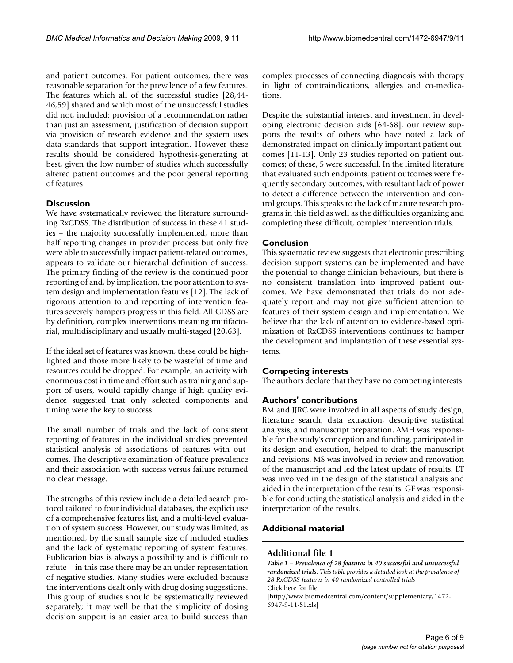and patient outcomes. For patient outcomes, there was reasonable separation for the prevalence of a few features. The features which all of the successful studies [28,44- 46,59] shared and which most of the unsuccessful studies did not, included: provision of a recommendation rather than just an assessment, justification of decision support via provision of research evidence and the system uses data standards that support integration. However these results should be considered hypothesis-generating at best, given the low number of studies which successfully altered patient outcomes and the poor general reporting of features.

# **Discussion**

We have systematically reviewed the literature surrounding RxCDSS. The distribution of success in these 41 studies – the majority successfully implemented, more than half reporting changes in provider process but only five were able to successfully impact patient-related outcomes, appears to validate our hierarchal definition of success. The primary finding of the review is the continued poor reporting of and, by implication, the poor attention to system design and implementation features [12]. The lack of rigorous attention to and reporting of intervention features severely hampers progress in this field. All CDSS are by definition, complex interventions meaning mutifactorial, multidisciplinary and usually multi-staged [20,63].

If the ideal set of features was known, these could be highlighted and those more likely to be wasteful of time and resources could be dropped. For example, an activity with enormous cost in time and effort such as training and support of users, would rapidly change if high quality evidence suggested that only selected components and timing were the key to success.

The small number of trials and the lack of consistent reporting of features in the individual studies prevented statistical analysis of associations of features with outcomes. The descriptive examination of feature prevalence and their association with success versus failure returned no clear message.

The strengths of this review include a detailed search protocol tailored to four individual databases, the explicit use of a comprehensive features list, and a multi-level evaluation of system success. However, our study was limited, as mentioned, by the small sample size of included studies and the lack of systematic reporting of system features. Publication bias is always a possibility and is difficult to refute – in this case there may be an under-representation of negative studies. Many studies were excluded because the interventions dealt only with drug dosing suggestions. This group of studies should be systematically reviewed separately; it may well be that the simplicity of dosing decision support is an easier area to build success than

complex processes of connecting diagnosis with therapy in light of contraindications, allergies and co-medications.

Despite the substantial interest and investment in developing electronic decision aids [64-68], our review supports the results of others who have noted a lack of demonstrated impact on clinically important patient outcomes [11-13]. Only 23 studies reported on patient outcomes; of these, 5 were successful. In the limited literature that evaluated such endpoints, patient outcomes were frequently secondary outcomes, with resultant lack of power to detect a difference between the intervention and control groups. This speaks to the lack of mature research programs in this field as well as the difficulties organizing and completing these difficult, complex intervention trials.

# **Conclusion**

This systematic review suggests that electronic prescribing decision support systems can be implemented and have the potential to change clinician behaviours, but there is no consistent translation into improved patient outcomes. We have demonstrated that trials do not adequately report and may not give sufficient attention to features of their system design and implementation. We believe that the lack of attention to evidence-based optimization of RxCDSS interventions continues to hamper the development and implantation of these essential systems.

# **Competing interests**

The authors declare that they have no competing interests.

# **Authors' contributions**

BM and JJRC were involved in all aspects of study design, literature search, data extraction, descriptive statistical analysis, and manuscript preparation. AMH was responsible for the study's conception and funding, participated in its design and execution, helped to draft the manuscript and revisions. MS was involved in review and renovation of the manuscript and led the latest update of results. LT was involved in the design of the statistical analysis and aided in the interpretation of the results. GF was responsible for conducting the statistical analysis and aided in the interpretation of the results.

# **Additional material**

#### **Additional file 1**

*Table 1 – Prevalence of 28 features in 40 successful and unsuccessful randomized trials. This table provides a detailed look at the prevalence of 28 RxCDSS features in 40 randomized controlled trials* Click here for file [\[http://www.biomedcentral.com/content/supplementary/1472-](http://www.biomedcentral.com/content/supplementary/1472-6947-9-11-S1.xls) 6947-9-11-S1.xls]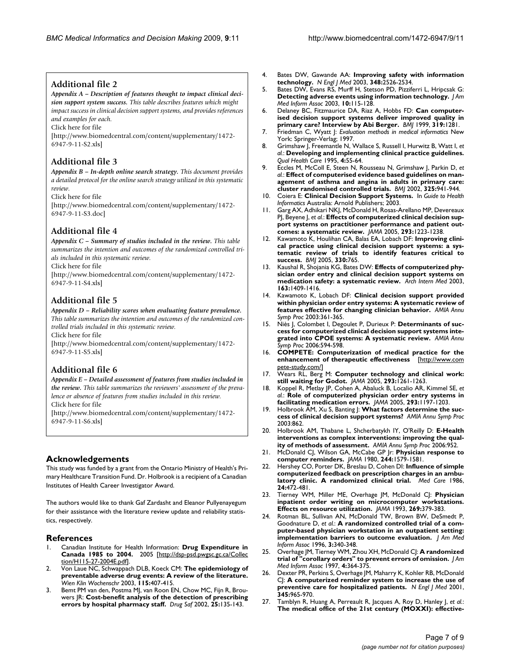# **Additional file 2**

*Appendix A – Description of features thought to impact clinical decision support system success. This table describes features which might impact success in clinical decision support systems, and provides references and examples for each.*

Click here for file

[\[http://www.biomedcentral.com/content/supplementary/1472-](http://www.biomedcentral.com/content/supplementary/1472-6947-9-11-S2.xls) 6947-9-11-S2.xls]

# **Additional file 3**

*Appendix B – In-depth online search strategy. This document provides a detailed protocol for the online search strategy utilized in this systematic review.*

Click here for file

[\[http://www.biomedcentral.com/content/supplementary/1472-](http://www.biomedcentral.com/content/supplementary/1472-6947-9-11-S3.doc) 6947-9-11-S3.doc]

# **Additional file 4**

*Appendix C – Summary of studies included in the review. This table summarizes the intention and outcomes of the randomized controlled trials included in this systematic review.*

Click here for file

[\[http://www.biomedcentral.com/content/supplementary/1472-](http://www.biomedcentral.com/content/supplementary/1472-6947-9-11-S4.xls) 6947-9-11-S4.xls]

# **Additional file 5**

*Appendix D – Reliability scores when evaluating feature prevalence. This table summarizes the intention and outcomes of the randomized controlled trials included in this systematic review.*

Click here for file

[\[http://www.biomedcentral.com/content/supplementary/1472-](http://www.biomedcentral.com/content/supplementary/1472-6947-9-11-S5.xls) 6947-9-11-S5.xls]

# **Additional file 6**

*Appendix E – Detailed assessment of features from studies included in the review. This table summarizes the reviewers' assessment of the prevalence or absence of features from studies included in this review.* Click here for file

[\[http://www.biomedcentral.com/content/supplementary/1472-](http://www.biomedcentral.com/content/supplementary/1472-6947-9-11-S6.xls) 6947-9-11-S6.xls]

# **Acknowledgements**

This study was funded by a grant from the Ontario Ministry of Health's Primary Healthcare Transition Fund. Dr. Holbrook is a recipient of a Canadian Institutes of Health Career Investigator Award.

The authors would like to thank Gaf Zardasht and Eleanor Pullyenayegum for their assistance with the literature review update and reliability statistics, respectively.

#### **References**

- 1. Canadian Institute for Health Information: **Drug Expenditure in Canada 1985 to 2004.** 2005 [[http://dsp-psd.pwgsc.gc.ca/Collec](http://dsp-psd.pwgsc.gc.ca/Collection/H115-27-2004E.pdf) [tion/H115-27-2004E.pdf](http://dsp-psd.pwgsc.gc.ca/Collection/H115-27-2004E.pdf)].
- 2. Von Laue NC, Schwappach DLB, Koeck CM: **[The epidemiology of](http://www.ncbi.nlm.nih.gov/entrez/query.fcgi?cmd=Retrieve&db=PubMed&dopt=Abstract&list_uids=12918183) [preventable adverse drug events: A review of the literature.](http://www.ncbi.nlm.nih.gov/entrez/query.fcgi?cmd=Retrieve&db=PubMed&dopt=Abstract&list_uids=12918183)** *Wien Klin Wochenschr* 2003, **115:**407-415.
- 3. Bemt PM van den, Postma MJ, van Roon EN, Chow MC, Fijn R, Brouwers JR: **[Cost-benefit analysis of the detection of prescribing](http://www.ncbi.nlm.nih.gov/entrez/query.fcgi?cmd=Retrieve&db=PubMed&dopt=Abstract&list_uids=11888354) [errors by hospital pharmacy staff.](http://www.ncbi.nlm.nih.gov/entrez/query.fcgi?cmd=Retrieve&db=PubMed&dopt=Abstract&list_uids=11888354)** *Drug Saf* 2002, **25:**135-143.
- 4. Bates DW, Gawande AA: **[Improving safety with information](http://www.ncbi.nlm.nih.gov/entrez/query.fcgi?cmd=Retrieve&db=PubMed&dopt=Abstract&list_uids=12815139) [technology.](http://www.ncbi.nlm.nih.gov/entrez/query.fcgi?cmd=Retrieve&db=PubMed&dopt=Abstract&list_uids=12815139)** *N Engl J Med* 2003, **348:**2526-2534.
- 5. Bates DW, Evans RS, Murff H, Stetson PD, Pizziferri L, Hripcsak G: **[Detecting adverse events using information technology.](http://www.ncbi.nlm.nih.gov/entrez/query.fcgi?cmd=Retrieve&db=PubMed&dopt=Abstract&list_uids=12595401)** *J Am Med Inform Assoc* 2003, **10:**115-128.
- 6. Delaney BC, Fitzmaurice DA, Riaz A, Hobbs FD: **[Can computer](http://www.ncbi.nlm.nih.gov/entrez/query.fcgi?cmd=Retrieve&db=PubMed&dopt=Abstract&list_uids=10559035)[ised decision support systems deliver improved quality in](http://www.ncbi.nlm.nih.gov/entrez/query.fcgi?cmd=Retrieve&db=PubMed&dopt=Abstract&list_uids=10559035) [primary care? Interview by Abi Berger.](http://www.ncbi.nlm.nih.gov/entrez/query.fcgi?cmd=Retrieve&db=PubMed&dopt=Abstract&list_uids=10559035)** *BMJ* 1999, **319:**1281.
- 7. Friedman C, Wyatt J: *Evaluation methods in medical informatics* New York: Springer-Verlag; 1997.
- 8. Grimshaw J, Freemantle N, Wallace S, Russell I, Hurwitz B, Watt I, *et al.*: **[Developing and implementing clinical practice guidelines.](http://www.ncbi.nlm.nih.gov/entrez/query.fcgi?cmd=Retrieve&db=PubMed&dopt=Abstract&list_uids=10142039)** *Qual Health Care* 1995, **4:**55-64.
- 9. Eccles M, McColl E, Steen N, Rousseau N, Grimshaw J, Parkin D, *et al.*: **[Effect of computerised evidence based guidelines on man](http://www.ncbi.nlm.nih.gov/entrez/query.fcgi?cmd=Retrieve&db=PubMed&dopt=Abstract&list_uids=12399345)[agement of asthma and angina in adults in primary care:](http://www.ncbi.nlm.nih.gov/entrez/query.fcgi?cmd=Retrieve&db=PubMed&dopt=Abstract&list_uids=12399345) [cluster randomised controlled trials.](http://www.ncbi.nlm.nih.gov/entrez/query.fcgi?cmd=Retrieve&db=PubMed&dopt=Abstract&list_uids=12399345)** *BMJ* 2002, **325:**941-944.
- 10. Coiera E: **Clinical Decision Support Systems.** In *Guide to Health Informatics* Australia: Arnold Publishers; 2003.
- 11. Garg AX, Adhikari NKJ, McDonald H, Rosas-Arellano MP, Devereaux PJ, Beyene J, *et al.*: **[Effects of computerized clinical decision sup](http://www.ncbi.nlm.nih.gov/entrez/query.fcgi?cmd=Retrieve&db=PubMed&dopt=Abstract&list_uids=15755945)[port systems on practitioner performance and patient out](http://www.ncbi.nlm.nih.gov/entrez/query.fcgi?cmd=Retrieve&db=PubMed&dopt=Abstract&list_uids=15755945)[comes: a systematic review.](http://www.ncbi.nlm.nih.gov/entrez/query.fcgi?cmd=Retrieve&db=PubMed&dopt=Abstract&list_uids=15755945)** *JAMA* 2005, **293:**1223-1238.
- 12. Kawamoto K, Houlihan CA, Balas EA, Lobach DF: **[Improving clini](http://www.ncbi.nlm.nih.gov/entrez/query.fcgi?cmd=Retrieve&db=PubMed&dopt=Abstract&list_uids=15767266)[cal practice using clinical decision support systems: a sys](http://www.ncbi.nlm.nih.gov/entrez/query.fcgi?cmd=Retrieve&db=PubMed&dopt=Abstract&list_uids=15767266)tematic review of trials to identify features critical to [success.](http://www.ncbi.nlm.nih.gov/entrez/query.fcgi?cmd=Retrieve&db=PubMed&dopt=Abstract&list_uids=15767266)** *BMJ* 2005, **330:**765.
- 13. Kaushal R, Shojania KG, Bates DW: **[Effects of computerized phy](http://www.ncbi.nlm.nih.gov/entrez/query.fcgi?cmd=Retrieve&db=PubMed&dopt=Abstract&list_uids=12824090)[sician order entry and clinical decision support systems on](http://www.ncbi.nlm.nih.gov/entrez/query.fcgi?cmd=Retrieve&db=PubMed&dopt=Abstract&list_uids=12824090) [medication safety: a systematic review.](http://www.ncbi.nlm.nih.gov/entrez/query.fcgi?cmd=Retrieve&db=PubMed&dopt=Abstract&list_uids=12824090)** *Arch Intern Med* 2003, **163:**1409-1416.
- 14. Kawamoto K, Lobach DF: **[Clinical decision support provided](http://www.ncbi.nlm.nih.gov/entrez/query.fcgi?cmd=Retrieve&db=PubMed&dopt=Abstract&list_uids=14728195) [within physician order entry systems: A systematic review of](http://www.ncbi.nlm.nih.gov/entrez/query.fcgi?cmd=Retrieve&db=PubMed&dopt=Abstract&list_uids=14728195) [features effective for changing clinician behavior.](http://www.ncbi.nlm.nih.gov/entrez/query.fcgi?cmd=Retrieve&db=PubMed&dopt=Abstract&list_uids=14728195)** *AMIA Annu Symp Proc* 2003:361-365.
- 15. Niès J, Colombet I, Degoulet P, Durieux P: **[Determinants of suc](http://www.ncbi.nlm.nih.gov/entrez/query.fcgi?cmd=Retrieve&db=PubMed&dopt=Abstract&list_uids=17238410)[cess for computerized clinical decision support systems inte](http://www.ncbi.nlm.nih.gov/entrez/query.fcgi?cmd=Retrieve&db=PubMed&dopt=Abstract&list_uids=17238410)[grated into CPOE systems: A systematic review.](http://www.ncbi.nlm.nih.gov/entrez/query.fcgi?cmd=Retrieve&db=PubMed&dopt=Abstract&list_uids=17238410)** *AMIA Annu Symp Proc* 2006:594-598.
- 16. **COMPETE: Computerization of medical practice for the enhancement of therapeutic effectiveness** [\[http://www.com](http://www.compete-study.com/) [pete-study.com/](http://www.compete-study.com/)]
- 17. Wears RL, Berg M: **[Computer technology and clinical work:](http://www.ncbi.nlm.nih.gov/entrez/query.fcgi?cmd=Retrieve&db=PubMed&dopt=Abstract&list_uids=15755949) [still waiting for Godot.](http://www.ncbi.nlm.nih.gov/entrez/query.fcgi?cmd=Retrieve&db=PubMed&dopt=Abstract&list_uids=15755949)** *JAMA* 2005, **293:**1261-1263.
- 18. Koppel R, Metlay JP, Cohen A, Abaluck B, Localio AR, Kimmel SE, *et al.*: **[Role of computerized physician order entry systems in](http://www.ncbi.nlm.nih.gov/entrez/query.fcgi?cmd=Retrieve&db=PubMed&dopt=Abstract&list_uids=15755942) [facilitating medication errors.](http://www.ncbi.nlm.nih.gov/entrez/query.fcgi?cmd=Retrieve&db=PubMed&dopt=Abstract&list_uids=15755942)** *JAMA* 2005, **293:**1197-1203.
- 19. Holbrook AM, Xu S, Banting J: **[What factors determine the suc](http://www.ncbi.nlm.nih.gov/entrez/query.fcgi?cmd=Retrieve&db=PubMed&dopt=Abstract&list_uids=14728367)[cess of clinical decision support systems?](http://www.ncbi.nlm.nih.gov/entrez/query.fcgi?cmd=Retrieve&db=PubMed&dopt=Abstract&list_uids=14728367)** *AMIA Annu Symp Proc* 2003:862.
- 20. Holbrook AM, Thabane L, Shcherbatykh IY, O'Reilly D: **[E-Health](http://www.ncbi.nlm.nih.gov/entrez/query.fcgi?cmd=Retrieve&db=PubMed&dopt=Abstract&list_uids=17238571) [interventions as complex interventions: improving the qual](http://www.ncbi.nlm.nih.gov/entrez/query.fcgi?cmd=Retrieve&db=PubMed&dopt=Abstract&list_uids=17238571)[ity of methods of assessment.](http://www.ncbi.nlm.nih.gov/entrez/query.fcgi?cmd=Retrieve&db=PubMed&dopt=Abstract&list_uids=17238571)** *AMIA Annu Symp Proc* 2006:952.
- 21. McDonald CJ, Wilson GA, McCabe GP Jr: **[Physician response to](http://www.ncbi.nlm.nih.gov/entrez/query.fcgi?cmd=Retrieve&db=PubMed&dopt=Abstract&list_uids=7420656) [computer reminders.](http://www.ncbi.nlm.nih.gov/entrez/query.fcgi?cmd=Retrieve&db=PubMed&dopt=Abstract&list_uids=7420656)** *JAMA* 1980, **244:**1579-1581.
- 22. Hershey CO, Porter DK, Breslau D, Cohen DI: **[Influence of simple](http://www.ncbi.nlm.nih.gov/entrez/query.fcgi?cmd=Retrieve&db=PubMed&dopt=Abstract&list_uids=3520177) [computerized feedback on prescription charges in an ambu](http://www.ncbi.nlm.nih.gov/entrez/query.fcgi?cmd=Retrieve&db=PubMed&dopt=Abstract&list_uids=3520177)[latory clinic. A randomized clinical trial.](http://www.ncbi.nlm.nih.gov/entrez/query.fcgi?cmd=Retrieve&db=PubMed&dopt=Abstract&list_uids=3520177)** *Med Care* 1986, **24:**472-481.
- 23. Tierney WM, Miller ME, Overhage JM, McDonald CJ: **[Physician](http://www.ncbi.nlm.nih.gov/entrez/query.fcgi?cmd=Retrieve&db=PubMed&dopt=Abstract&list_uids=8418345) [inpatient order writing on microcomputer workstations.](http://www.ncbi.nlm.nih.gov/entrez/query.fcgi?cmd=Retrieve&db=PubMed&dopt=Abstract&list_uids=8418345) [Effects on resource utilization.](http://www.ncbi.nlm.nih.gov/entrez/query.fcgi?cmd=Retrieve&db=PubMed&dopt=Abstract&list_uids=8418345)** *JAMA* 1993, **269:**379-383.
- Rotman BL, Sullivan AN, McDonald TW, Brown BW, DeSmedt P, Goodnature D, *et al.*: **[A randomized controlled trial of a com](http://www.ncbi.nlm.nih.gov/entrez/query.fcgi?cmd=Retrieve&db=PubMed&dopt=Abstract&list_uids=8880681)[puter-based physician workstation in an outpatient setting:](http://www.ncbi.nlm.nih.gov/entrez/query.fcgi?cmd=Retrieve&db=PubMed&dopt=Abstract&list_uids=8880681) [implementation barriers to outcome evaluation.](http://www.ncbi.nlm.nih.gov/entrez/query.fcgi?cmd=Retrieve&db=PubMed&dopt=Abstract&list_uids=8880681)** *J Am Med Inform Assoc* 1996, **3:**340-348.
- 25. Overhage JM, Tierney WM, Zhou XH, McDonald CJ: **[A randomized](http://www.ncbi.nlm.nih.gov/entrez/query.fcgi?cmd=Retrieve&db=PubMed&dopt=Abstract&list_uids=9292842) [trial of "corollary orders" to prevent errors of omission.](http://www.ncbi.nlm.nih.gov/entrez/query.fcgi?cmd=Retrieve&db=PubMed&dopt=Abstract&list_uids=9292842)** *J Am Med Inform Assoc* 1997, **4:**364-375.
- 26. Dexter PR, Perkins S, Overhage JM, Maharry K, Kohler RB, McDonald CJ: **[A computerized reminder system to increase the use of](http://www.ncbi.nlm.nih.gov/entrez/query.fcgi?cmd=Retrieve&db=PubMed&dopt=Abstract&list_uids=11575289) [preventive care for hospitalized patients.](http://www.ncbi.nlm.nih.gov/entrez/query.fcgi?cmd=Retrieve&db=PubMed&dopt=Abstract&list_uids=11575289)** *N Engl J Med* 2001, **345:**965-970.
- 27. Tamblyn R, Huang A, Perreault R, Jacques A, Roy D, Hanley J, *et al.*: **[The medical office of the 21st century \(MOXXI\): effective](http://www.ncbi.nlm.nih.gov/entrez/query.fcgi?cmd=Retrieve&db=PubMed&dopt=Abstract&list_uids=12975221)-**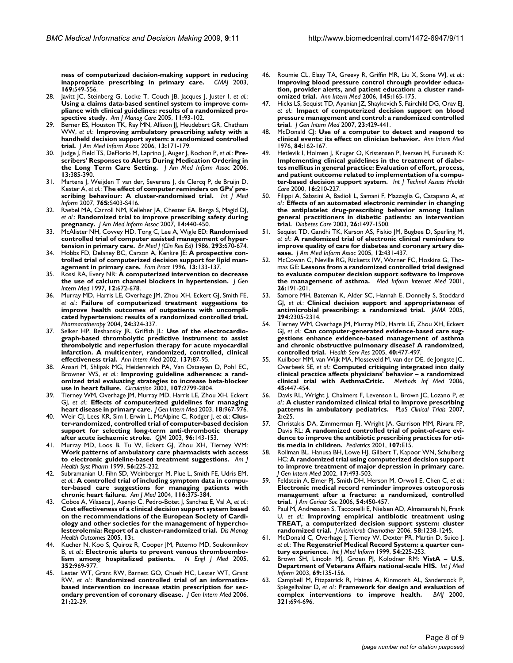**[ness of computerized decision-making support in reducing](http://www.ncbi.nlm.nih.gov/entrez/query.fcgi?cmd=Retrieve&db=PubMed&dopt=Abstract&list_uids=12975221)** [inappropriate prescribing in primary care.](http://www.ncbi.nlm.nih.gov/entrez/query.fcgi?cmd=Retrieve&db=PubMed&dopt=Abstract&list_uids=12975221) **169:**549-556.

- 28. Javitt JC, Steinberg G, Locke T, Couch JB, Jacques J, Juster I, *et al.*: **[Using a claims data-based sentinel system to improve com](http://www.ncbi.nlm.nih.gov/entrez/query.fcgi?cmd=Retrieve&db=PubMed&dopt=Abstract&list_uids=15726857)pliance with clinical guidelines: results of a randomized pro[spective study.](http://www.ncbi.nlm.nih.gov/entrez/query.fcgi?cmd=Retrieve&db=PubMed&dopt=Abstract&list_uids=15726857)** *Am J Manag Care* 2005, **11:**93-102.
- 29. Berner ES, Houston TK, Ray MN, Allison JJ, Heudebert GR, Chatham WW, *et al.*: **[Improving ambulatory prescribing safety with a](http://www.ncbi.nlm.nih.gov/entrez/query.fcgi?cmd=Retrieve&db=PubMed&dopt=Abstract&list_uids=16357350) [handheld decision support system: a randomized controlled](http://www.ncbi.nlm.nih.gov/entrez/query.fcgi?cmd=Retrieve&db=PubMed&dopt=Abstract&list_uids=16357350) [trial.](http://www.ncbi.nlm.nih.gov/entrez/query.fcgi?cmd=Retrieve&db=PubMed&dopt=Abstract&list_uids=16357350)** *J Am Med Inform Assoc* 2006, **13:**171-179.
- 30. Judge J, Field TS, DeFlorio M, Laprino J, Auger J, Rochon P, *et al.*: **[Pre](http://www.ncbi.nlm.nih.gov/entrez/query.fcgi?cmd=Retrieve&db=PubMed&dopt=Abstract&list_uids=16622171)[scribers' Responses to Alerts During Medication Ordering in](http://www.ncbi.nlm.nih.gov/entrez/query.fcgi?cmd=Retrieve&db=PubMed&dopt=Abstract&list_uids=16622171) [the Long Term Care Setting.](http://www.ncbi.nlm.nih.gov/entrez/query.fcgi?cmd=Retrieve&db=PubMed&dopt=Abstract&list_uids=16622171)** *J Am Med Inform Assoc* 2006, **13:**385-390.
- 31. Martens J, Weijden T van der, Severens J, de Clercq P, de Bruijn D, Kester A, *et al.*: **The effect of computer reminders on GPs' prescribing behaviour: A cluster-randomised trial.** *Int J Med Inform* 2007, **76S:**S403-S416.
- 32. Raebel MA, Carroll NM, Kelleher JA, Chester EA, Berga S, Magid DJ, *et al.*: **[Randomized trial to improve prescribing safety during](http://www.ncbi.nlm.nih.gov/entrez/query.fcgi?cmd=Retrieve&db=PubMed&dopt=Abstract&list_uids=17460126) [pregnancy.](http://www.ncbi.nlm.nih.gov/entrez/query.fcgi?cmd=Retrieve&db=PubMed&dopt=Abstract&list_uids=17460126)** *J Am Med Inform Assoc* 2007, **14:**440-450.
- 33. McAlister NH, Covvey HD, Tong C, Lee A, Wigle ED: **[Randomised](http://www.ncbi.nlm.nih.gov/entrez/query.fcgi?cmd=Retrieve&db=PubMed&dopt=Abstract&list_uids=3092976) [controlled trial of computer assisted management of hyper](http://www.ncbi.nlm.nih.gov/entrez/query.fcgi?cmd=Retrieve&db=PubMed&dopt=Abstract&list_uids=3092976)[tension in primary care.](http://www.ncbi.nlm.nih.gov/entrez/query.fcgi?cmd=Retrieve&db=PubMed&dopt=Abstract&list_uids=3092976)** *Br Med J (Clin Res Ed)* 1986, **293:**670-674.
- 34. Hobbs FD, Delaney BC, Carson A, Kenkre JE: **[A prospective con](http://www.ncbi.nlm.nih.gov/entrez/query.fcgi?cmd=Retrieve&db=PubMed&dopt=Abstract&list_uids=8732323)[trolled trial of computerized decision support for lipid man](http://www.ncbi.nlm.nih.gov/entrez/query.fcgi?cmd=Retrieve&db=PubMed&dopt=Abstract&list_uids=8732323)[agement in primary care.](http://www.ncbi.nlm.nih.gov/entrez/query.fcgi?cmd=Retrieve&db=PubMed&dopt=Abstract&list_uids=8732323)** *Fam Pract* 1996, **13:**133-137.
- 35. Rossi RA, Every NR: **[A computerized intervention to decrease](http://www.ncbi.nlm.nih.gov/entrez/query.fcgi?cmd=Retrieve&db=PubMed&dopt=Abstract&list_uids=9383135) [the use of calcium channel blockers in hypertension.](http://www.ncbi.nlm.nih.gov/entrez/query.fcgi?cmd=Retrieve&db=PubMed&dopt=Abstract&list_uids=9383135)** *J Gen Intern Med* 1997, **12:**672-678.
- 36. Murray MD, Harris LE, Overhage JM, Zhou XH, Eckert GJ, Smith FE, *et al.*: **[Failure of computerized treatment suggestions to](http://www.ncbi.nlm.nih.gov/entrez/query.fcgi?cmd=Retrieve&db=PubMed&dopt=Abstract&list_uids=15040645) [improve health outcomes of outpatients with uncompli](http://www.ncbi.nlm.nih.gov/entrez/query.fcgi?cmd=Retrieve&db=PubMed&dopt=Abstract&list_uids=15040645)cated hypertension: results of a randomized controlled trial.** *Pharmacotherapy* 2004, **24:**324-337.
- 37. Selker HP, Beshansky JR, Griffith JL: **[Use of the electrocardio](http://www.ncbi.nlm.nih.gov/entrez/query.fcgi?cmd=Retrieve&db=PubMed&dopt=Abstract&list_uids=12118963)graph-based thrombolytic predictive instrument to assist [thrombolytic and reperfusion therapy for acute myocardial](http://www.ncbi.nlm.nih.gov/entrez/query.fcgi?cmd=Retrieve&db=PubMed&dopt=Abstract&list_uids=12118963) infarction. A multicenter, randomized, controlled, clinical [effectiveness trial.](http://www.ncbi.nlm.nih.gov/entrez/query.fcgi?cmd=Retrieve&db=PubMed&dopt=Abstract&list_uids=12118963)** *Ann Intern Med* 2002, **137:**87-95.
- 38. Ansari M, Shlipak MG, Heidenreich PA, Van Ostaeyen D, Pohl EC, Browner WS, *et al.*: **[Improving guideline adherence: a rand](http://www.ncbi.nlm.nih.gov/entrez/query.fcgi?cmd=Retrieve&db=PubMed&dopt=Abstract&list_uids=12756157)[omized trial evaluating strategies to increase beta-blocker](http://www.ncbi.nlm.nih.gov/entrez/query.fcgi?cmd=Retrieve&db=PubMed&dopt=Abstract&list_uids=12756157) [use in heart failure.](http://www.ncbi.nlm.nih.gov/entrez/query.fcgi?cmd=Retrieve&db=PubMed&dopt=Abstract&list_uids=12756157)** *Circulation* 2003, **107:**2799-2804.
- 39. Tierney WM, Overhage JM, Murray MD, Harris LE, Zhou XH, Eckert GJ, *et al.*: **[Effects of computerized guidelines for managing](http://www.ncbi.nlm.nih.gov/entrez/query.fcgi?cmd=Retrieve&db=PubMed&dopt=Abstract&list_uids=14687254) [heart disease in primary care.](http://www.ncbi.nlm.nih.gov/entrez/query.fcgi?cmd=Retrieve&db=PubMed&dopt=Abstract&list_uids=14687254)** *J Gen Intern Med* 2003, **18:**967-976.
- 40. Weir CJ, Lees KR, Sim I, Erwin L, McAlpine C, Rodger J, *et al.*: **[Clus](http://www.ncbi.nlm.nih.gov/entrez/query.fcgi?cmd=Retrieve&db=PubMed&dopt=Abstract&list_uids=12589012)[ter-randomized, controlled trial of computer-based decision](http://www.ncbi.nlm.nih.gov/entrez/query.fcgi?cmd=Retrieve&db=PubMed&dopt=Abstract&list_uids=12589012) support for selecting long-term anti-thrombotic therapy [after acute ischaemic stroke.](http://www.ncbi.nlm.nih.gov/entrez/query.fcgi?cmd=Retrieve&db=PubMed&dopt=Abstract&list_uids=12589012)** *QJM* 2003, **96:**143-153.
- 41. Murray MD, Loos B, Tu W, Eckert GJ, Zhou XH, Tierney WM: **[Work patterns of ambulatory care pharmacists with access](http://www.ncbi.nlm.nih.gov/entrez/query.fcgi?cmd=Retrieve&db=PubMed&dopt=Abstract&list_uids=10030506) [to electronic guideline-based treatment suggestions.](http://www.ncbi.nlm.nih.gov/entrez/query.fcgi?cmd=Retrieve&db=PubMed&dopt=Abstract&list_uids=10030506)** *Am J Health Syst Pharm* 1999, **56:**225-232.
- 42. Subramanian U, Fihn SD, Weinberger M, Plue L, Smith FE, Udris EM, *et al.*: **[A controlled trial of including symptom data in compu](http://www.ncbi.nlm.nih.gov/entrez/query.fcgi?cmd=Retrieve&db=PubMed&dopt=Abstract&list_uids=15006586)[ter-based care suggestions for managing patients with](http://www.ncbi.nlm.nih.gov/entrez/query.fcgi?cmd=Retrieve&db=PubMed&dopt=Abstract&list_uids=15006586) [chronic heart failure.](http://www.ncbi.nlm.nih.gov/entrez/query.fcgi?cmd=Retrieve&db=PubMed&dopt=Abstract&list_uids=15006586)** *Am J Med* 2004, **116:**375-384.
- 43. Cobos A, Vilaseca J, Asenjo C, Pedro-Botet J, Sanchez E, Val A, *et al.*: **Cost effectiveness of a clinical decision support system based on the recommendations of the European Society of Cardiology and other societies for the management of hypercholesterolemia: Report of a cluster-randomized trial.** *Dis Manag Health Outcomes* 2005, **13:**.
- 44. Kucher N, Koo S, Quiroz R, Cooper JM, Paterno MD, Soukonnikov B, *et al.*: **[Electronic alerts to prevent venous thromboembo](http://www.ncbi.nlm.nih.gov/entrez/query.fcgi?cmd=Retrieve&db=PubMed&dopt=Abstract&list_uids=15758007)[lism among hospitalized patients.](http://www.ncbi.nlm.nih.gov/entrez/query.fcgi?cmd=Retrieve&db=PubMed&dopt=Abstract&list_uids=15758007)** *N Engl J Med* 2005, **352:**969-977.
- Lester WT, Grant RW, Barnett GO, Chueh HC, Lester WT, Grant RW, *et al.*: **[Randomized controlled trial of an informatics](http://www.ncbi.nlm.nih.gov/entrez/query.fcgi?cmd=Retrieve&db=PubMed&dopt=Abstract&list_uids=16423119)[based intervention to increase statin prescription for sec](http://www.ncbi.nlm.nih.gov/entrez/query.fcgi?cmd=Retrieve&db=PubMed&dopt=Abstract&list_uids=16423119)[ondary prevention of coronary disease.](http://www.ncbi.nlm.nih.gov/entrez/query.fcgi?cmd=Retrieve&db=PubMed&dopt=Abstract&list_uids=16423119)** *J Gen Intern Med* 2006, **21:**22-29.
- 46. Roumie CL, Elasy TA, Greevy R, Griffin MR, Liu X, Stone WJ, *et al.*: **[Improving blood pressure control through provider educa](http://www.ncbi.nlm.nih.gov/entrez/query.fcgi?cmd=Retrieve&db=PubMed&dopt=Abstract&list_uids=16880458)tion, provider alerts, and patient education: a cluster rand[omized trial.](http://www.ncbi.nlm.nih.gov/entrez/query.fcgi?cmd=Retrieve&db=PubMed&dopt=Abstract&list_uids=16880458)** *Ann Intern Med* 2006, **145:**165-175.
- 47. Hicks LS, Sequist TD, Ayanian JZ, Shaykevich S, Fairchild DG, Orav EJ, *et al.*: **Impact of computerized decision support on blood pressure management and control: a randomized controlled trial.** *J Gen Intern Med* 2007, **23:**429-441.
- 48. McDonald CJ: **[Use of a computer to detect and respond to](http://www.ncbi.nlm.nih.gov/entrez/query.fcgi?cmd=Retrieve&db=PubMed&dopt=Abstract&list_uids=1252043) [clinical events: its effect on clinician behavior.](http://www.ncbi.nlm.nih.gov/entrez/query.fcgi?cmd=Retrieve&db=PubMed&dopt=Abstract&list_uids=1252043)** *Ann Intern Med* 1976, **84:**162-167.
- Hetlevik I, Holmen J, Kruger O, Kristensen P, Iversen H, Furuseth K: **Implementing clinical guidelines in the treatment of diabe[tes mellitus in general practice: Evaluation of effort, process,](http://www.ncbi.nlm.nih.gov/entrez/query.fcgi?cmd=Retrieve&db=PubMed&dopt=Abstract&list_uids=10815366) and patient outcome related to implementation of a compu[ter-based decision support system.](http://www.ncbi.nlm.nih.gov/entrez/query.fcgi?cmd=Retrieve&db=PubMed&dopt=Abstract&list_uids=10815366)** *Int J Technol Assess Health Care* 2000, **16:**210-227.
- 50. Filippi A, Sabatini A, Badioli L, Samani F, Mazzaglia G, Catapano A, *et al.*: **[Effects of an automated electronic reminder in changing](http://www.ncbi.nlm.nih.gov/entrez/query.fcgi?cmd=Retrieve&db=PubMed&dopt=Abstract&list_uids=12716811) [the antiplatelet drug-prescribing behavior among Italian](http://www.ncbi.nlm.nih.gov/entrez/query.fcgi?cmd=Retrieve&db=PubMed&dopt=Abstract&list_uids=12716811) general practitioners in diabetic patients: an intervention [trial.](http://www.ncbi.nlm.nih.gov/entrez/query.fcgi?cmd=Retrieve&db=PubMed&dopt=Abstract&list_uids=12716811)** *Diabetes Care* 2003, **26:**1497-1500.
- 51. Sequist TD, Gandhi TK, Karson AS, Fiskio JM, Bugbee D, Sperling M, *et al.*: **[A randomized trial of electronic clinical reminders to](http://www.ncbi.nlm.nih.gov/entrez/query.fcgi?cmd=Retrieve&db=PubMed&dopt=Abstract&list_uids=15802479) [improve quality of care for diabetes and coronary artery dis](http://www.ncbi.nlm.nih.gov/entrez/query.fcgi?cmd=Retrieve&db=PubMed&dopt=Abstract&list_uids=15802479)[ease.](http://www.ncbi.nlm.nih.gov/entrez/query.fcgi?cmd=Retrieve&db=PubMed&dopt=Abstract&list_uids=15802479)** *J Am Med Inform Assoc* 2005, **12:**431-437.
- McCowan C, Neville RG, Ricketts IW, Warner FC, Hoskins G, Thomas GE: **[Lessons from a randomized controlled trial designed](http://www.ncbi.nlm.nih.gov/entrez/query.fcgi?cmd=Retrieve&db=PubMed&dopt=Abstract&list_uids=11706929) [to evaluate computer decision support software to improve](http://www.ncbi.nlm.nih.gov/entrez/query.fcgi?cmd=Retrieve&db=PubMed&dopt=Abstract&list_uids=11706929) [the management of asthma.](http://www.ncbi.nlm.nih.gov/entrez/query.fcgi?cmd=Retrieve&db=PubMed&dopt=Abstract&list_uids=11706929)** *Med Inform Internet Med* 2001, **26:**191-201.
- 53. Samore MH, Bateman K, Alder SC, Hannah E, Donnelly S, Stoddard GJ, *et al.*: **[Clinical decision support and appropriateness of](http://www.ncbi.nlm.nih.gov/entrez/query.fcgi?cmd=Retrieve&db=PubMed&dopt=Abstract&list_uids=16278358) [antimicrobial prescribing: a randomized trial.](http://www.ncbi.nlm.nih.gov/entrez/query.fcgi?cmd=Retrieve&db=PubMed&dopt=Abstract&list_uids=16278358)** *JAMA* 2005, **294:**2305-2314.
- 54. Tierney WM, Overhage JM, Murray MD, Harris LE, Zhou XH, Eckert GJ, *et al.*: **[Can computer-generated evidence-based care sug](http://www.ncbi.nlm.nih.gov/entrez/query.fcgi?cmd=Retrieve&db=PubMed&dopt=Abstract&list_uids=15762903)[gestions enhance evidence-based management of asthma](http://www.ncbi.nlm.nih.gov/entrez/query.fcgi?cmd=Retrieve&db=PubMed&dopt=Abstract&list_uids=15762903) and chronic obstructive pulmonary disease? A randomized, [controlled trial.](http://www.ncbi.nlm.nih.gov/entrez/query.fcgi?cmd=Retrieve&db=PubMed&dopt=Abstract&list_uids=15762903)** *Health Serv Res* 2005, **40:**477-497.
- 55. Kuilboer MM, van Wijk MA, Mosseveld M, van der DE, de Jongste JC, Overbeek SE, *et al.*: **[Computed critiquing integrated into daily](http://www.ncbi.nlm.nih.gov/entrez/query.fcgi?cmd=Retrieve&db=PubMed&dopt=Abstract&list_uids=16964364) [clinical practice affects physicians' behavior – a randomized](http://www.ncbi.nlm.nih.gov/entrez/query.fcgi?cmd=Retrieve&db=PubMed&dopt=Abstract&list_uids=16964364) [clinical trial with AsthmaCritic.](http://www.ncbi.nlm.nih.gov/entrez/query.fcgi?cmd=Retrieve&db=PubMed&dopt=Abstract&list_uids=16964364)** *Methods Inf Med* 2006, **45:**447-454.
- 56. Davis RL, Wright J, Chalmers F, Levenson L, Brown JC, Lozano P, *et al.*: **[A cluster randomized clinical trial to improve prescribing](http://www.ncbi.nlm.nih.gov/entrez/query.fcgi?cmd=Retrieve&db=PubMed&dopt=Abstract&list_uids=17525793) [patterns in ambulatory pediatrics.](http://www.ncbi.nlm.nih.gov/entrez/query.fcgi?cmd=Retrieve&db=PubMed&dopt=Abstract&list_uids=17525793)** *PLoS Clinical Trials* 2007, **2:**e25.
- 57. Christakis DA, Zimmerman FJ, Wright JA, Garrison MM, Rivara FP, Davis RL: **[A randomized controlled trial of point-of-care evi](http://www.ncbi.nlm.nih.gov/entrez/query.fcgi?cmd=Retrieve&db=PubMed&dopt=Abstract&list_uids=11158489)[dence to improve the antibiotic prescribing practices for oti](http://www.ncbi.nlm.nih.gov/entrez/query.fcgi?cmd=Retrieve&db=PubMed&dopt=Abstract&list_uids=11158489)[tis media in children.](http://www.ncbi.nlm.nih.gov/entrez/query.fcgi?cmd=Retrieve&db=PubMed&dopt=Abstract&list_uids=11158489)** *Pediatrics* 2001, **107:**E15.
- Rollman BL, Hanusa BH, Lowe HJ, Gilbert T, Kapoor WN, Schulberg HC: **[A randomized trial using computerized decision support](http://www.ncbi.nlm.nih.gov/entrez/query.fcgi?cmd=Retrieve&db=PubMed&dopt=Abstract&list_uids=12133139) [to improve treatment of major depression in primary care.](http://www.ncbi.nlm.nih.gov/entrez/query.fcgi?cmd=Retrieve&db=PubMed&dopt=Abstract&list_uids=12133139)** *J Gen Intern Med* 2002, **17:**493-503.
- 59. Feldstein A, Elmer PJ, Smith DH, Herson M, Orwoll E, Chen C, *et al.*: **[Electronic medical record reminder improves osteoporosis](http://www.ncbi.nlm.nih.gov/entrez/query.fcgi?cmd=Retrieve&db=PubMed&dopt=Abstract&list_uids=16551312) management after a fracture: a randomized, controlled [trial.](http://www.ncbi.nlm.nih.gov/entrez/query.fcgi?cmd=Retrieve&db=PubMed&dopt=Abstract&list_uids=16551312)** *J Am Geriatr Soc* 2006, **54:**450-457.
- 60. Paul M, Andreassen S, Tacconelli E, Nielsen AD, Almanasreh N, Frank U, *et al.*: **[Improving empirical antibiotic treatment using](http://www.ncbi.nlm.nih.gov/entrez/query.fcgi?cmd=Retrieve&db=PubMed&dopt=Abstract&list_uids=16998208) [TREAT, a computerized decision support system: cluster](http://www.ncbi.nlm.nih.gov/entrez/query.fcgi?cmd=Retrieve&db=PubMed&dopt=Abstract&list_uids=16998208) [randomized trial.](http://www.ncbi.nlm.nih.gov/entrez/query.fcgi?cmd=Retrieve&db=PubMed&dopt=Abstract&list_uids=16998208)** *J Antimicrob Chemother* 2006, **58:**1238-1245.
- 61. McDonald C, Overhage J, Tierney W, Dexter PR, Martin D, Suico J, *et al.*: **[The Regenstrief Medical Record System: a quarter cen](http://www.ncbi.nlm.nih.gov/entrez/query.fcgi?cmd=Retrieve&db=PubMed&dopt=Abstract&list_uids=10405881)[tury experience.](http://www.ncbi.nlm.nih.gov/entrez/query.fcgi?cmd=Retrieve&db=PubMed&dopt=Abstract&list_uids=10405881)** *Int J Med Inform* 1999, **54:**225-253.
- 62. Brown SH, Lincoln MJ, Groen PJ, Kolodner RM: **[VistA U.S.](http://www.ncbi.nlm.nih.gov/entrez/query.fcgi?cmd=Retrieve&db=PubMed&dopt=Abstract&list_uids=12810119) [Department of Veterans Affairs national-scale HIS.](http://www.ncbi.nlm.nih.gov/entrez/query.fcgi?cmd=Retrieve&db=PubMed&dopt=Abstract&list_uids=12810119)** *Int J Med Inform* 2003, **69:**135-156.
- Campbell M, Fitzpatrick R, Haines A, Kinmonth AL, Sandercock P, Spiegelhalter D, *et al.*: **[Framework for design and evaluation of](http://www.ncbi.nlm.nih.gov/entrez/query.fcgi?cmd=Retrieve&db=PubMed&dopt=Abstract&list_uids=10987780) [complex interventions to improve health.](http://www.ncbi.nlm.nih.gov/entrez/query.fcgi?cmd=Retrieve&db=PubMed&dopt=Abstract&list_uids=10987780)** *BMJ* 2000, **321:**694-696.